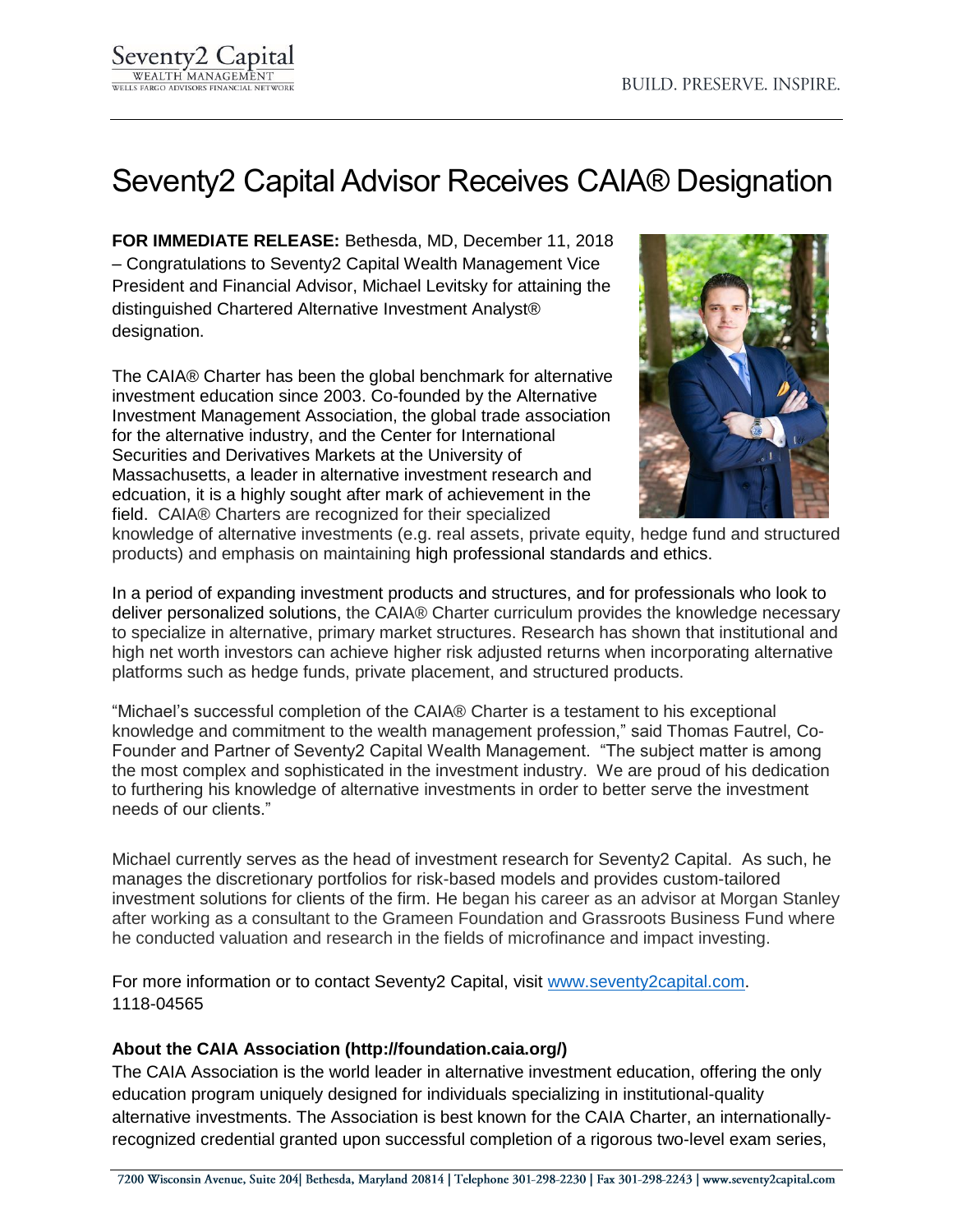## Seventy2 Capital Advisor Receives CAIA® Designation

**FOR IMMEDIATE RELEASE:** Bethesda, MD, December 11, 2018 – Congratulations to Seventy2 Capital Wealth Management Vice President and Financial Advisor, Michael Levitsky for attaining the distinguished Chartered Alternative Investment Analyst® designation.

The CAIA® Charter has been the global benchmark for alternative investment education since 2003. Co-founded by the Alternative Investment Management Association, the global trade association for the alternative industry, and the Center for International Securities and Derivatives Markets at the University of Massachusetts, a leader in alternative investment research and edcuation, it is a highly sought after mark of achievement in the field. CAIA® Charters are recognized for their specialized



knowledge of alternative investments (e.g. real assets, private equity, hedge fund and structured products) and emphasis on maintaining high professional standards and ethics.

In a period of expanding investment products and structures, and for professionals who look to deliver personalized solutions, the CAIA® Charter curriculum provides the knowledge necessary to specialize in alternative, primary market structures. Research has shown that institutional and high net worth investors can achieve higher risk adjusted returns when incorporating alternative platforms such as hedge funds, private placement, and structured products.

"Michael's successful completion of the CAIA® Charter is a testament to his exceptional knowledge and commitment to the wealth management profession," said Thomas Fautrel, Co-Founder and Partner of Seventy2 Capital Wealth Management. "The subject matter is among the most complex and sophisticated in the investment industry. We are proud of his dedication to furthering his knowledge of alternative investments in order to better serve the investment needs of our clients."

Michael currently serves as the head of investment research for Seventy2 Capital. As such, he manages the discretionary portfolios for risk-based models and provides custom-tailored investment solutions for clients of the firm. He began his career as an advisor at Morgan Stanley after working as a consultant to the Grameen Foundation and Grassroots Business Fund where he conducted valuation and research in the fields of microfinance and impact investing.

For more information or to contact Seventy2 Capital, visit [www.seventy2capital.com.](http://www.seventy2capital.com/) 1118-04565

## **About the CAIA Association (http://foundation.caia.org/)**

The CAIA Association is the world leader in alternative investment education, offering the only education program uniquely designed for individuals specializing in institutional-quality alternative investments. The Association is best known for the CAIA Charter, an internationallyrecognized credential granted upon successful completion of a rigorous two-level exam series,